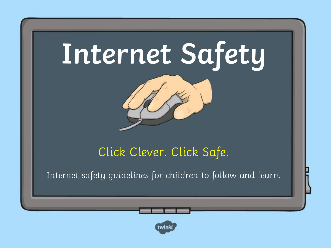



#### Click Clever. Click Safe.

Internet safety guidelines for children to follow and learn.

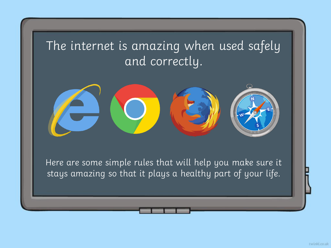#### The internet is amazing when used safely and correctly.



Here are some simple rules that will help you make sure it stays amazing so that it plays a healthy part of your life.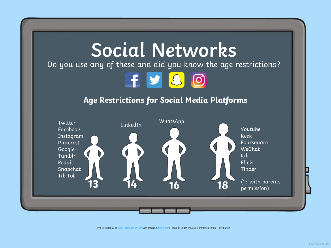

Photo courtesy of (lon@th@nC@flickr.com and forche.6@flickr.com) - granted under creative commons licence - attribution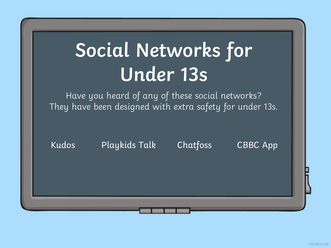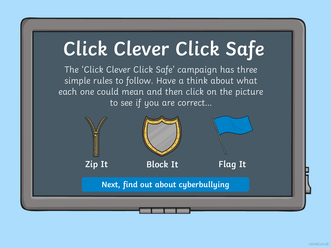<span id="page-4-0"></span>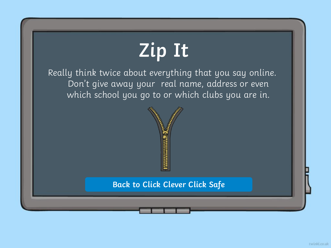## **Zip It**

<span id="page-5-0"></span>Really think twice about everything that you say online. Don't give away your real name, address or even which school you go to or which clubs you are in.



#### **[Back to Click Clever Click Safe](#page-4-0)**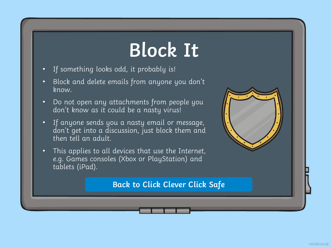### **Block It**

- <span id="page-6-0"></span>• If something looks odd, it probably is!
- Block and delete emails from anyone you don't know.
- Do not open any attachments from people you don't know as it could be a nasty virus!
- If anyone sends you a nasty email or message, don't get into a discussion, just block them and then tell an adult.
- This applies to all devices that use the Internet, e.g. Games consoles (Xbox or PlayStation) and tablets (iPad).

#### **[Back to Click Clever Click Safe](#page-4-0)**

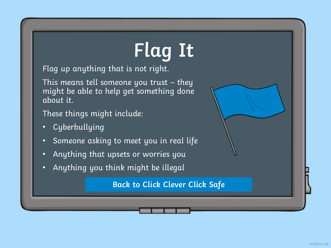# **Flag It**

<span id="page-7-0"></span>Flag up anything that is not right.

This means tell someone you trust – they might be able to help get something done about it.

These things might include:

- Cyberbullying
- Someone asking to meet you in real life
- Anything that upsets or worries you
- Anything you think might be illegal

**[Back to Click Clever Click Safe](#page-4-0)**

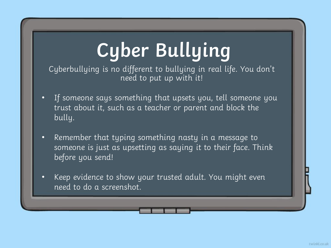## **Cyber Bullying**

<span id="page-8-0"></span>Cyberbullying is no different to bullying in real life. You don't need to put up with it!

- If someone says something that upsets you, tell someone you trust about it, such as a teacher or parent and block the bully.
- Remember that typing something nasty in a message to someone is just as upsetting as saying it to their face. Think before you send!
- Keep evidence to show your trusted adult. You might even need to do a screenshot.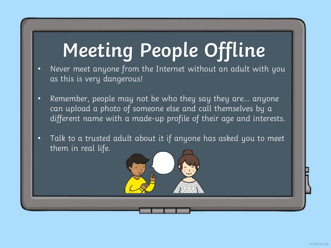### **Meeting People Offline**

- Never meet anyone from the Internet without an adult with you as this is very dangerous!
- Remember, people may not be who they say they are… anyone can upload a photo of someone else and call themselves by a different name with a made-up profile of their age and interests.
- Talk to a trusted adult about it if anyone has asked you to meet them in real life.